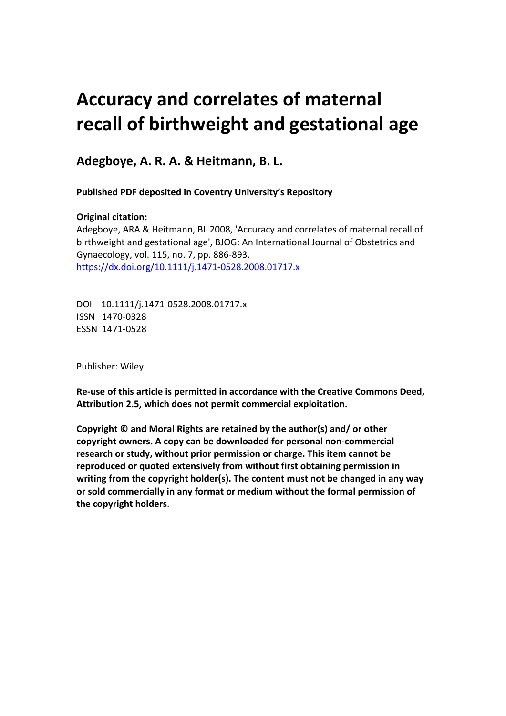# **Accuracy and correlates of maternal recall of birthweight and gestational age**

**Adegboye, A. R. A. & Heitmann, B. L.** 

**Published PDF deposited in Coventry University's Repository** 

# **Original citation:**

Adegboye, ARA & Heitmann, BL 2008, 'Accuracy and correlates of maternal recall of birthweight and gestational age', BJOG: An International Journal of Obstetrics and Gynaecology, vol. 115, no. 7, pp. 886-893. https://dx.doi.org/10.1111/j.1471-0528.2008.01717.x

 DOI 10.1111/j.1471-0528.2008.01717.x ISSN 1470-0328 ESSN 1471-0528

Publisher: Wiley

**Re‐use of this article is permitted in accordance with the Creative Commons Deed, Attribution 2.5, which does not permit commercial exploitation.** 

**Copyright © and Moral Rights are retained by the author(s) and/ or other copyright owners. A copy can be downloaded for personal non-commercial research or study, without prior permission or charge. This item cannot be reproduced or quoted extensively from without first obtaining permission in writing from the copyright holder(s). The content must not be changed in any way or sold commercially in any format or medium without the formal permission of the copyright holders**.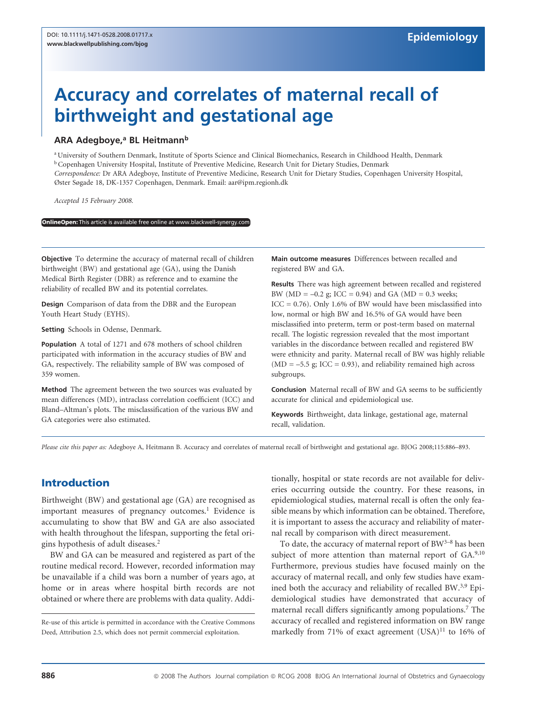# Accuracy and correlates of maternal recall of birthweight and gestational age

#### ARA Adegboye,<sup>a</sup> BL Heitmann<sup>b</sup>

a University of Southern Denmark, Institute of Sports Science and Clinical Biomechanics, Research in Childhood Health, Denmark <sup>b</sup> Copenhagen University Hospital, Institute of Preventive Medicine, Research Unit for Dietary Studies, Denmark Correspondence: Dr ARA Adegboye, Institute of Preventive Medicine, Research Unit for Dietary Studies, Copenhagen University Hospital, Øster Søgade 18, DK-1357 Copenhagen, Denmark. Email: aar@ipm.regionh.dk

Accepted 15 February 2008.

#### OnlineOpen: This article is available free online at www.blackwell-synergy.com

Objective To determine the accuracy of maternal recall of children birthweight (BW) and gestational age (GA), using the Danish Medical Birth Register (DBR) as reference and to examine the reliability of recalled BW and its potential correlates.

Design Comparison of data from the DBR and the European Youth Heart Study (EYHS).

Setting Schools in Odense, Denmark.

Population A total of 1271 and 678 mothers of school children participated with information in the accuracy studies of BW and GA, respectively. The reliability sample of BW was composed of 359 women.

Method The agreement between the two sources was evaluated by mean differences (MD), intraclass correlation coefficient (ICC) and Bland–Altman's plots. The misclassification of the various BW and GA categories were also estimated.

Main outcome measures Differences between recalled and registered BW and GA.

Results There was high agreement between recalled and registered BW ( $MD = -0.2$  g; ICC = 0.94) and GA ( $MD = 0.3$  weeks; ICC = 0.76). Only 1.6% of BW would have been misclassifed into low, normal or high BW and 16.5% of GA would have been misclassifed into preterm, term or post-term based on maternal recall. The logistic regression revealed that the most important variables in the discordance between recalled and registered BW were ethnicity and parity. Maternal recall of BW was highly reliable  $(MD = -5.5$  g; ICC = 0.93), and reliability remained high across subgroups.

Conclusion Maternal recall of BW and GA seems to be sufficiently accurate for clinical and epidemiological use.

Keywords Birthweight, data linkage, gestational age, maternal recall, validation.

Please cite this paper as: Adegboye A, Heitmann B. Accuracy and correlates of maternal recall of birthweight and gestational age. BJOG 2008;115:886–893.

# Introduction

Birthweight (BW) and gestational age (GA) are recognised as important measures of pregnancy outcomes.<sup>1</sup> Evidence is accumulating to show that BW and GA are also associated with health throughout the lifespan, supporting the fetal origins hypothesis of adult diseases.2

BW and GA can be measured and registered as part of the routine medical record. However, recorded information may be unavailable if a child was born a number of years ago, at home or in areas where hospital birth records are not obtained or where there are problems with data quality. Addi-

Re-use of this article is permitted in accordance with the Creative Commons Deed, Attribution 2.5, which does not permit commercial exploitation.

tionally, hospital or state records are not available for deliveries occurring outside the country. For these reasons, in epidemiological studies, maternal recall is often the only feasible means by which information can be obtained. Therefore, it is important to assess the accuracy and reliability of maternal recall by comparison with direct measurement.

To date, the accuracy of maternal report of BW<sup>3-8</sup> has been subject of more attention than maternal report of GA.9,10 Furthermore, previous studies have focused mainly on the accuracy of maternal recall, and only few studies have examined both the accuracy and reliability of recalled BW.<sup>3,9</sup> Epidemiological studies have demonstrated that accuracy of maternal recall differs significantly among populations.<sup>7</sup> The accuracy of recalled and registered information on BW range markedly from 71% of exact agreement (USA)<sup>11</sup> to 16% of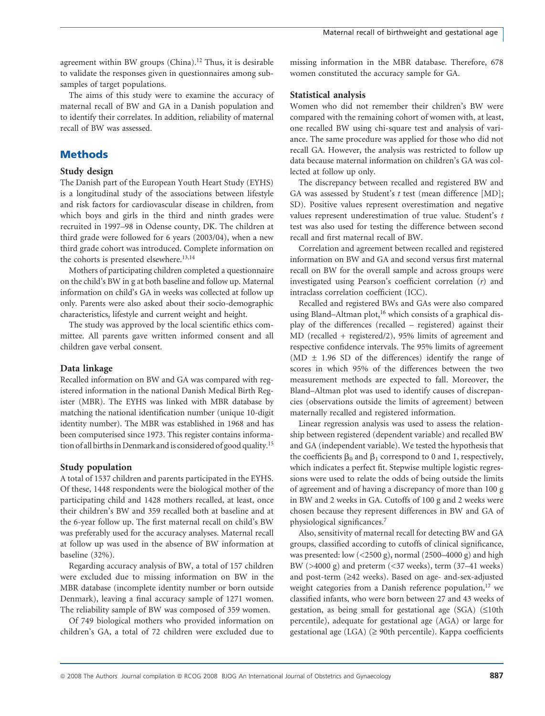agreement within BW groups (China).12 Thus, it is desirable to validate the responses given in questionnaires among subsamples of target populations.

The aims of this study were to examine the accuracy of maternal recall of BW and GA in a Danish population and to identify their correlates. In addition, reliability of maternal recall of BW was assessed.

# **Methods**

#### Study design

The Danish part of the European Youth Heart Study (EYHS) is a longitudinal study of the associations between lifestyle and risk factors for cardiovascular disease in children, from which boys and girls in the third and ninth grades were recruited in 1997–98 in Odense county, DK. The children at third grade were followed for 6 years (2003/04), when a new third grade cohort was introduced. Complete information on the cohorts is presented elsewhere.<sup>13,14</sup>

Mothers of participating children completed a questionnaire on the child's BW in g at both baseline and follow up. Maternal information on child's GA in weeks was collected at follow up only. Parents were also asked about their socio-demographic characteristics, lifestyle and current weight and height.

The study was approved by the local scientifc ethics committee. All parents gave written informed consent and all children gave verbal consent.

#### Data linkage

Recalled information on BW and GA was compared with registered information in the national Danish Medical Birth Register (MBR). The EYHS was linked with MBR database by matching the national identifcation number (unique 10-digit identity number). The MBR was established in 1968 and has been computerised since 1973. This register contains information of all births in Denmark and is considered of good quality.15

#### Study population

A total of 1537 children and parents participated in the EYHS. Of these, 1448 respondents were the biological mother of the participating child and 1428 mothers recalled, at least, once their children's BW and 359 recalled both at baseline and at the 6-year follow up. The frst maternal recall on child's BW was preferably used for the accuracy analyses. Maternal recall at follow up was used in the absence of BW information at baseline (32%).

Regarding accuracy analysis of BW, a total of 157 children were excluded due to missing information on BW in the MBR database (incomplete identity number or born outside Denmark), leaving a fnal accuracy sample of 1271 women. The reliability sample of BW was composed of 359 women.

Of 749 biological mothers who provided information on children's GA, a total of 72 children were excluded due to missing information in the MBR database. Therefore, 678 women constituted the accuracy sample for GA.

#### Statistical analysis

Women who did not remember their children's BW were compared with the remaining cohort of women with, at least, one recalled BW using chi-square test and analysis of variance. The same procedure was applied for those who did not recall GA. However, the analysis was restricted to follow up data because maternal information on children's GA was collected at follow up only.

The discrepancy between recalled and registered BW and GA was assessed by Student's t test (mean difference [MD]; SD). Positive values represent overestimation and negative values represent underestimation of true value. Student's t test was also used for testing the difference between second recall and frst maternal recall of BW.

Correlation and agreement between recalled and registered information on BW and GA and second versus frst maternal recall on BW for the overall sample and across groups were investigated using Pearson's coefficient correlation  $(r)$  and intraclass correlation coefficient (ICC).

Recalled and registered BWs and GAs were also compared using Bland–Altman plot,<sup>16</sup> which consists of a graphical display of the differences (recalled – registered) against their MD (recalled + registered/2), 95% limits of agreement and respective confdence intervals. The 95% limits of agreement (MD  $\pm$  1.96 SD of the differences) identify the range of scores in which 95% of the differences between the two measurement methods are expected to fall. Moreover, the Bland–Altman plot was used to identify causes of discrepancies (observations outside the limits of agreement) between maternally recalled and registered information.

Linear regression analysis was used to assess the relationship between registered (dependent variable) and recalled BW and GA (independent variable). We tested the hypothesis that the coefficients  $\beta_0$  and  $\beta_1$  correspond to 0 and 1, respectively, which indicates a perfect ft. Stepwise multiple logistic regressions were used to relate the odds of being outside the limits of agreement and of having a discrepancy of more than 100 g in BW and 2 weeks in GA. Cutoffs of 100 g and 2 weeks were chosen because they represent differences in BW and GA of physiological signifcances.7

Also, sensitivity of maternal recall for detecting BW and GA groups, classifed according to cutoffs of clinical signifcance, was presented: low (<2500 g), normal (2500–4000 g) and high BW (>4000 g) and preterm (<37 weeks), term (37–41 weeks) and post-term  $(≥42$  weeks). Based on age- and-sex-adjusted weight categories from a Danish reference population, $17$  we classifed infants, who were born between 27 and 43 weeks of gestation, as being small for gestational age (SGA)  $(\leq 10$ th percentile), adequate for gestational age (AGA) or large for gestational age  $(LGA)$  ( $\geq$  90th percentile). Kappa coefficients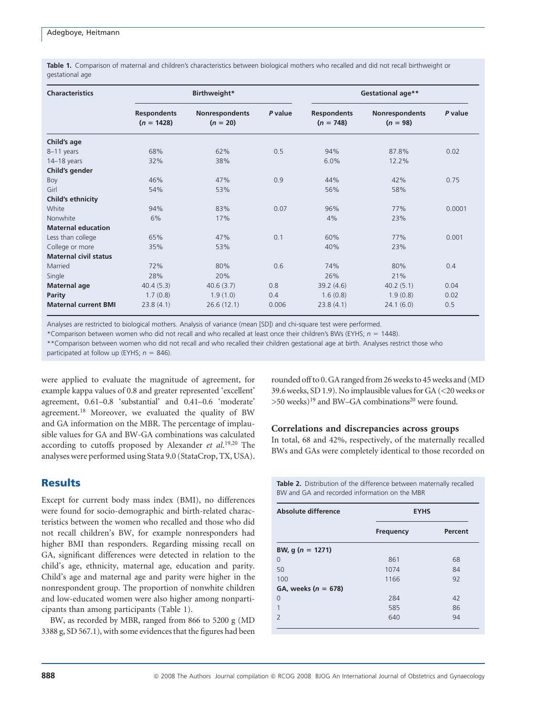Table 1. Comparison of maternal and children's characteristics between biological mothers who recalled and did not recall birthweight or gestational age

| <b>Characteristics</b>       | Birthweight*                       |                              |         | Gestational age**                 |                                     |         |
|------------------------------|------------------------------------|------------------------------|---------|-----------------------------------|-------------------------------------|---------|
|                              | <b>Respondents</b><br>$(n = 1428)$ | Nonrespondents<br>$(n = 20)$ | P value | <b>Respondents</b><br>$(n = 748)$ | <b>Nonrespondents</b><br>$(n = 98)$ | P value |
| Child's age                  |                                    |                              |         |                                   |                                     |         |
| 8-11 years                   | 68%                                | 62%                          | 0.5     | 94%                               | 87.8%                               | 0.02    |
| $14-18$ years                | 32%                                | 38%                          |         | 6.0%                              | 12.2%                               |         |
| Child's gender               |                                    |                              |         |                                   |                                     |         |
| Boy                          | 46%                                | 47%                          | 0.9     | 44%                               | 42%                                 | 0.75    |
| Girl                         | 54%                                | 53%                          |         | 56%                               | 58%                                 |         |
| Child's ethnicity            |                                    |                              |         |                                   |                                     |         |
| White                        | 94%                                | 83%                          | 0.07    | 96%                               | 77%                                 | 0.0001  |
| Nonwhite                     | 6%                                 | 17%                          |         | 4%                                | 23%                                 |         |
| <b>Maternal education</b>    |                                    |                              |         |                                   |                                     |         |
| Less than college            | 65%                                | 47%                          | 0.1     | 60%                               | 77%                                 | 0.001   |
| College or more              | 35%                                | 53%                          |         | 40%                               | 23%                                 |         |
| <b>Maternal civil status</b> |                                    |                              |         |                                   |                                     |         |
| Married                      | 72%                                | 80%                          | 0.6     | 74%                               | 80%                                 | 0.4     |
| Single                       | 28%                                | 20%                          |         | 26%                               | 21%                                 |         |
| <b>Maternal age</b>          | 40.4(5.3)                          | 40.6(3.7)                    | 0.8     | 39.2(4.6)                         | 40.2(5.1)                           | 0.04    |
| Parity                       | 1.7(0.8)                           | 1.9(1.0)                     | 0.4     | 1.6(0.8)                          | 1.9(0.8)                            | 0.02    |
| <b>Maternal current BMI</b>  | 23.8(4.1)                          | 26.6(12.1)                   | 0.006   | 23.8(4.1)                         | 24.1(6.0)                           | 0.5     |

Analyses are restricted to biological mothers. Analysis of variance (mean [SD]) and chi-square test were performed.

\*Comparison between women who did not recall and who recalled at least once their children's BWs (EYHS;  $n = 1448$ ).

\*\*Comparison between women who did not recall and who recalled their children gestational age at birth. Analyses restrict those who

participated at follow up (EYHS;  $n = 846$ ).

were applied to evaluate the magnitude of agreement, for example kappa values of 0.8 and greater represented 'excellent' agreement, 0.61–0.8 'substantial' and 0.41–0.6 'moderate' agreement.18 Moreover, we evaluated the quality of BW and GA information on the MBR. The percentage of implausible values for GA and BW-GA combinations was calculated according to cutoffs proposed by Alexander et  $al$ <sup>19,20</sup> The analyses were performed using Stata 9.0 (StataCrop, TX, USA).

### **Results**

Except for current body mass index (BMI), no differences were found for socio-demographic and birth-related characteristics between the women who recalled and those who did not recall children's BW, for example nonresponders had higher BMI than responders. Regarding missing recall on GA, signifcant differences were detected in relation to the child's age, ethnicity, maternal age, education and parity. Child's age and maternal age and parity were higher in the nonrespondent group. The proportion of nonwhite children and low-educated women were also higher among nonparticipants than among participants (Table 1).

BW, as recorded by MBR, ranged from 866 to 5200 g (MD 3388 g, SD 567.1), with some evidences that the fgures had been

rounded off to 0. GA ranged from 26 weeks to 45 weeks and (MD 39.6 weeks, SD 1.9). No implausible values for GA (<20 weeks or  $>50$  weeks)<sup>19</sup> and BW–GA combinations<sup>20</sup> were found.

#### Correlations and discrepancies across groups

In total, 68 and 42%, respectively, of the maternally recalled BWs and GAs were completely identical to those recorded on

Table 2. Distribution of the difference between maternally recalled BW and GA and recorded information on the MBR

| <b>Absolute difference</b> | <b>EYHS</b> |         |
|----------------------------|-------------|---------|
|                            | Frequency   | Percent |
| BW, g $(n = 1271)$         |             |         |
| $\overline{0}$             | 861         | 68      |
| 50                         | 1074        | 84      |
| 100                        | 1166        | 92      |
| GA, weeks ( $n = 678$ )    |             |         |
| $\overline{0}$             | 284         | 42      |
|                            | 585         | 86      |
| $\overline{\phantom{0}}$   | 640         | 94      |
|                            |             |         |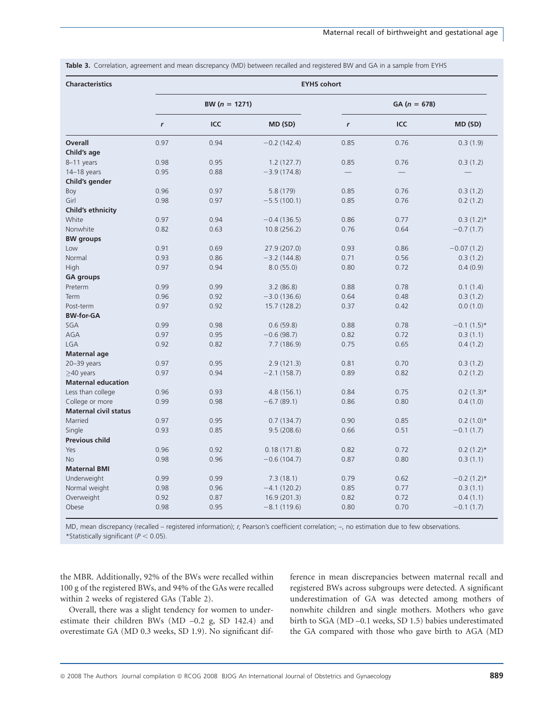| <b>Characteristics</b>       | <b>EYHS cohort</b> |                 |                |                  |            |               |  |  |
|------------------------------|--------------------|-----------------|----------------|------------------|------------|---------------|--|--|
|                              |                    | BW $(n = 1271)$ |                | $GA (n = 678)$   |            |               |  |  |
|                              | $\mathbf{r}$       | <b>ICC</b>      | MD (SD)        | $\boldsymbol{r}$ | <b>ICC</b> | MD (SD)       |  |  |
| <b>Overall</b>               | 0.97               | 0.94            | $-0.2$ (142.4) | 0.85             | 0.76       | 0.3(1.9)      |  |  |
| Child's age                  |                    |                 |                |                  |            |               |  |  |
| 8-11 years                   | 0.98               | 0.95            | 1.2(127.7)     | 0.85             | 0.76       | 0.3(1.2)      |  |  |
| $14-18$ years                | 0.95               | 0.88            | $-3.9(174.8)$  |                  |            |               |  |  |
| Child's gender               |                    |                 |                |                  |            |               |  |  |
| Boy                          | 0.96               | 0.97            | 5.8 (179)      | 0.85             | 0.76       | 0.3(1.2)      |  |  |
| Girl                         | 0.98               | 0.97            | $-5.5(100.1)$  | 0.85             | 0.76       | 0.2(1.2)      |  |  |
| Child's ethnicity            |                    |                 |                |                  |            |               |  |  |
| White                        | 0.97               | 0.94            | $-0.4(136.5)$  | 0.86             | 0.77       | $0.3(1.2)$ *  |  |  |
| Nonwhite                     | 0.82               | 0.63            | 10.8(256.2)    | 0.76             | 0.64       | $-0.7(1.7)$   |  |  |
| <b>BW</b> groups             |                    |                 |                |                  |            |               |  |  |
| Low                          | 0.91               | 0.69            | 27.9 (207.0)   | 0.93             | 0.86       | $-0.07(1.2)$  |  |  |
| Normal                       | 0.93               | 0.86            | $-3.2(144.8)$  | 0.71             | 0.56       | 0.3(1.2)      |  |  |
| High                         | 0.97               | 0.94            | 8.0(55.0)      | 0.80             | 0.72       | 0.4(0.9)      |  |  |
| <b>GA groups</b>             |                    |                 |                |                  |            |               |  |  |
| Preterm                      | 0.99               | 0.99            | 3.2(86.8)      | 0.88             | 0.78       | 0.1(1.4)      |  |  |
| Term                         | 0.96               | 0.92            | $-3.0(136.6)$  | 0.64             | 0.48       | 0.3(1.2)      |  |  |
| Post-term                    | 0.97               | 0.92            | 15.7 (128.2)   | 0.37             | 0.42       | 0.0(1.0)      |  |  |
| <b>BW-for-GA</b>             |                    |                 |                |                  |            |               |  |  |
| SGA                          | 0.99               | 0.98            | 0.6(59.8)      | 0.88             | 0.78       | $-0.1(1.5)$ * |  |  |
| <b>AGA</b>                   | 0.97               | 0.95            | $-0.6(98.7)$   | 0.82             | 0.72       | 0.3(1.1)      |  |  |
| <b>LGA</b>                   | 0.92               | 0.82            | 7.7(186.9)     | 0.75             | 0.65       | 0.4(1.2)      |  |  |
| <b>Maternal age</b>          |                    |                 |                |                  |            |               |  |  |
| 20-39 years                  | 0.97               | 0.95            | 2.9(121.3)     | 0.81             | 0.70       | 0.3(1.2)      |  |  |
| $\geq$ 40 years              | 0.97               | 0.94            | $-2.1(158.7)$  | 0.89             | 0.82       | 0.2(1.2)      |  |  |
| <b>Maternal education</b>    |                    |                 |                |                  |            |               |  |  |
| Less than college            | 0.96               | 0.93            | 4.8(156.1)     | 0.84             | 0.75       | $0.2(1.3)*$   |  |  |
| College or more              | 0.99               | 0.98            | $-6.7(89.1)$   | 0.86             | 0.80       | 0.4(1.0)      |  |  |
| <b>Maternal civil status</b> |                    |                 |                |                  |            |               |  |  |
| Married                      | 0.97               | 0.95            | 0.7(134.7)     | 0.90             | 0.85       | $0.2(1.0)*$   |  |  |
| Single                       | 0.93               | 0.85            | 9.5(208.6)     | 0.66             | 0.51       | $-0.1(1.7)$   |  |  |
| <b>Previous child</b>        |                    |                 |                |                  |            |               |  |  |
| Yes                          | 0.96               | 0.92            | 0.18(171.8)    | 0.82             | 0.72       | $0.2(1.2)$ *  |  |  |
| No                           | 0.98               | 0.96            | $-0.6(104.7)$  | 0.87             | 0.80       | 0.3(1.1)      |  |  |
| <b>Maternal BMI</b>          |                    |                 |                |                  |            |               |  |  |
| Underweight                  | 0.99               | 0.99            | 7.3(18.1)      | 0.79             | 0.62       | $-0.2(1.2)$ * |  |  |
| Normal weight                | 0.98               | 0.96            | $-4.1(120.2)$  | 0.85             | 0.77       | 0.3(1.1)      |  |  |
| Overweight                   | 0.92               | 0.87            | 16.9(201.3)    | 0.82             | 0.72       | 0.4(1.1)      |  |  |
| Obese                        | 0.98               | 0.95            | $-8.1(119.6)$  | 0.80             | 0.70       | $-0.1(1.7)$   |  |  |

Table 3. Correlation, agreement and mean discrepancy (MD) between recalled and registered BW and GA in a sample from EYHS

MD, mean discrepancy (recalled – registered information); r, Pearson's coefficient correlation; -, no estimation due to few observations. \*Statistically significant ( $P < 0.05$ ).

the MBR. Additionally, 92% of the BWs were recalled within 100 g of the registered BWs, and 94% of the GAs were recalled within 2 weeks of registered GAs (Table 2).

Overall, there was a slight tendency for women to underestimate their children BWs (MD –0.2 g, SD 142.4) and overestimate GA (MD 0.3 weeks, SD 1.9). No signifcant dif-

ference in mean discrepancies between maternal recall and registered BWs across subgroups were detected. A signifcant underestimation of GA was detected among mothers of nonwhite children and single mothers. Mothers who gave birth to SGA (MD –0.1 weeks, SD 1.5) babies underestimated the GA compared with those who gave birth to AGA (MD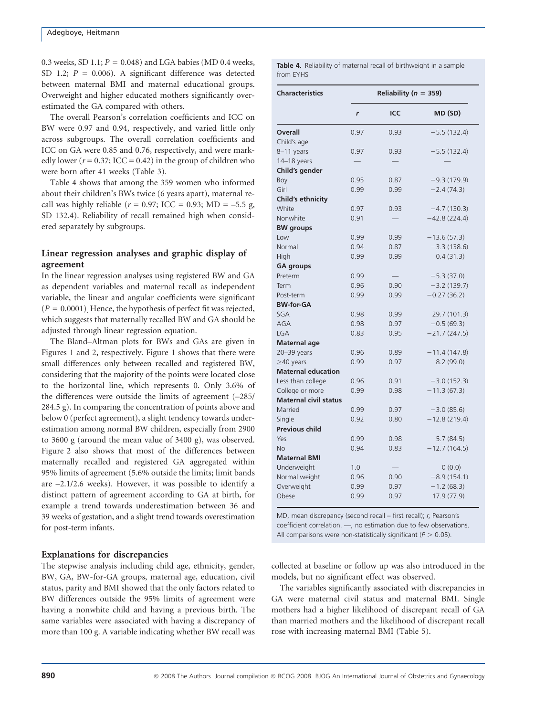0.3 weeks, SD 1.1;  $P = 0.048$ ) and LGA babies (MD 0.4 weeks, SD 1.2;  $P = 0.006$ ). A significant difference was detected between maternal BMI and maternal educational groups. Overweight and higher educated mothers signifcantly overestimated the GA compared with others.

The overall Pearson's correlation coefficients and ICC on BW were 0.97 and 0.94, respectively, and varied little only across subgroups. The overall correlation coefficients and ICC on GA were 0.85 and 0.76, respectively, and were markedly lower ( $r = 0.37$ ; ICC = 0.42) in the group of children who were born after 41 weeks (Table 3).

Table 4 shows that among the 359 women who informed about their children's BWs twice (6 years apart), maternal recall was highly reliable ( $r = 0.97$ ; ICC = 0.93; MD = -5.5 g, SD 132.4). Reliability of recall remained high when considered separately by subgroups.

#### Linear regression analyses and graphic display of agreement

In the linear regression analyses using registered BW and GA as dependent variables and maternal recall as independent variable, the linear and angular coeffcients were signifcant  $(P = 0.0001)$ . Hence, the hypothesis of perfect fit was rejected, which suggests that maternally recalled BW and GA should be adjusted through linear regression equation.

The Bland–Altman plots for BWs and GAs are given in Figures 1 and 2, respectively. Figure 1 shows that there were small differences only between recalled and registered BW, considering that the majority of the points were located close to the horizontal line, which represents 0. Only 3.6% of the differences were outside the limits of agreement (–285/ 284.5 g). In comparing the concentration of points above and below 0 (perfect agreement), a slight tendency towards underestimation among normal BW children, especially from 2900 to 3600 g (around the mean value of 3400 g), was observed. Figure 2 also shows that most of the differences between maternally recalled and registered GA aggregated within 95% limits of agreement (5.6% outside the limits; limit bands are –2.1/2.6 weeks). However, it was possible to identify a distinct pattern of agreement according to GA at birth, for example a trend towards underestimation between 36 and 39 weeks of gestation, and a slight trend towards overestimation for post-term infants.

#### Explanations for discrepancies

The stepwise analysis including child age, ethnicity, gender, BW, GA, BW-for-GA groups, maternal age, education, civil status, parity and BMI showed that the only factors related to BW differences outside the 95% limits of agreement were having a nonwhite child and having a previous birth. The same variables were associated with having a discrepancy of more than 100 g. A variable indicating whether BW recall was Table 4. Reliability of maternal recall of birthweight in a sample from EYHS

| <b>Characteristics</b>       | Reliability ( $n = 359$ ) |      |                |  |  |
|------------------------------|---------------------------|------|----------------|--|--|
|                              | r                         | ICC  | MD (SD)        |  |  |
| <b>Overall</b>               | 0.97                      | 0.93 | $-5.5(132.4)$  |  |  |
| Child's age                  |                           |      |                |  |  |
| 8-11 years                   | 0.97                      | 0.93 | $-5.5(132.4)$  |  |  |
| $14-18$ years                |                           |      |                |  |  |
| Child's gender               |                           |      |                |  |  |
| Boy                          | 0.95                      | 0.87 | $-9.3(179.9)$  |  |  |
| Girl                         | 0.99                      | 0.99 | $-2.4(74.3)$   |  |  |
| Child's ethnicity            |                           |      |                |  |  |
| White                        | 0.97                      | 0.93 | $-4.7(130.3)$  |  |  |
| Nonwhite                     | 0.91                      |      | $-42.8(224.4)$ |  |  |
| <b>BW</b> groups             |                           |      |                |  |  |
| Low                          | 0.99                      | 0.99 | $-13.6(57.3)$  |  |  |
| Normal                       | 0.94                      | 0.87 | $-3.3(138.6)$  |  |  |
| High                         | 0.99                      | 0.99 | 0.4(31.3)      |  |  |
| <b>GA groups</b>             |                           |      |                |  |  |
| Preterm                      | 0.99                      |      | $-5.3(37.0)$   |  |  |
| Term                         | 0.96                      | 0.90 | $-3.2(139.7)$  |  |  |
| Post-term                    | 0.99                      | 0.99 | $-0.27(36.2)$  |  |  |
| <b>BW-for-GA</b>             |                           |      |                |  |  |
| SGA                          | 0.98                      | 0.99 | 29.7 (101.3)   |  |  |
| <b>AGA</b>                   | 0.98                      | 0.97 | $-0.5(69.3)$   |  |  |
| <b>LGA</b>                   | 0.83                      | 0.95 | $-21.7(247.5)$ |  |  |
| Maternal age                 |                           |      |                |  |  |
| $20 - 39$ years              | 0.96                      | 0.89 | $-11.4(147.8)$ |  |  |
| $>40$ years                  | 0.99                      | 0.97 | 8.2(99.0)      |  |  |
| <b>Maternal education</b>    |                           |      |                |  |  |
| Less than college            | 0.96                      | 0.91 | $-3.0(152.3)$  |  |  |
| College or more              | 0.99                      | 0.98 | $-11.3(67.3)$  |  |  |
| <b>Maternal civil status</b> |                           |      |                |  |  |
| Married                      | 0.99                      | 0.97 | $-3.0(85.6)$   |  |  |
| Single                       | 0.92                      | 0.80 | $-12.8(219.4)$ |  |  |
| <b>Previous child</b>        |                           |      |                |  |  |
| Yes                          | 0.99                      | 0.98 | 5.7 (84.5)     |  |  |
| <b>No</b>                    | 0.94                      | 0.83 | $-12.7(164.5)$ |  |  |
| <b>Maternal BMI</b>          |                           |      |                |  |  |
| Underweight                  | 1.0                       |      | 0(0.0)         |  |  |
| Normal weight                | 0.96                      | 0.90 | $-8.9(154.1)$  |  |  |
| Overweight                   | 0.99                      | 0.97 | $-1.2(68.3)$   |  |  |
| Obese                        | 0.99                      | 0.97 | 17.9 (77.9)    |  |  |

MD, mean discrepancy (second recall – first recall); r, Pearson's coefficient correlation. -, no estimation due to few observations. All comparisons were non-statistically significant ( $P > 0.05$ ).

collected at baseline or follow up was also introduced in the models, but no signifcant effect was observed.

The variables signifcantly associated with discrepancies in GA were maternal civil status and maternal BMI. Single mothers had a higher likelihood of discrepant recall of GA than married mothers and the likelihood of discrepant recall rose with increasing maternal BMI (Table 5).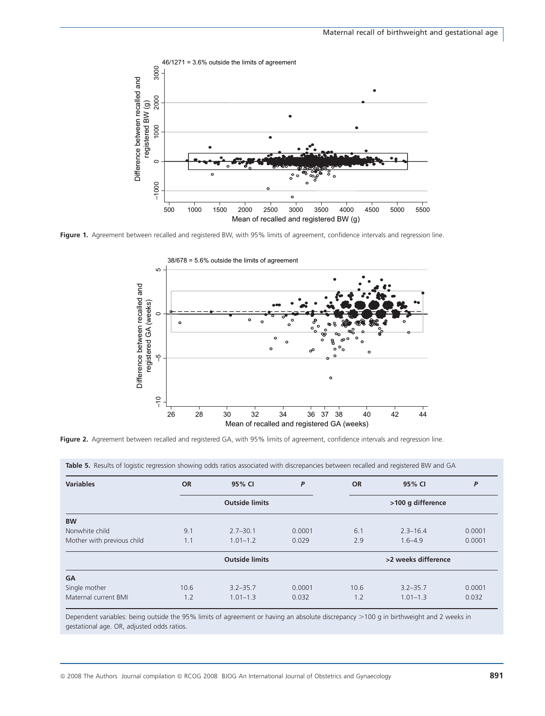

Figure 1. Agreement between recalled and registered BW, with 95% limits of agreement, confidence intervals and regression line.



Figure 2. Agreement between recalled and registered GA, with 95% limits of agreement, confidence intervals and regression line.

| <b>Variables</b>           | <b>OR</b>             | 95% CI                | P      | <b>OR</b>         | 95% CI              | P      |
|----------------------------|-----------------------|-----------------------|--------|-------------------|---------------------|--------|
|                            | <b>Outside limits</b> |                       |        | >100 g difference |                     |        |
| <b>BW</b>                  |                       |                       |        |                   |                     |        |
| Nonwhite child             | 9.1                   | $2.7 - 30.1$          | 0.0001 | 6.1               | $2.3 - 16.4$        | 0.0001 |
| Mother with previous child | 1.1                   | $1.01 - 1.2$          | 0.029  | 2.9               | $1.6 - 4.9$         | 0.0001 |
|                            |                       | <b>Outside limits</b> |        |                   | >2 weeks difference |        |
| <b>GA</b>                  |                       |                       |        |                   |                     |        |
| Single mother              | 10.6                  | $3.2 - 35.7$          | 0.0001 | 10.6              | $3.2 - 35.7$        | 0.0001 |
| Maternal current BMI       | 1.2                   | $1.01 - 1.3$          | 0.032  | 1.2               | $1.01 - 1.3$        | 0.032  |

Table 5. Results of logistic regression showing odds ratios associated with discrepancies between recalled and registered BW and GA

Dependent variables: being outside the 95% limits of agreement or having an absolute discrepancy >100 g in birthweight and 2 weeks in gestational age. OR, adjusted odds ratios.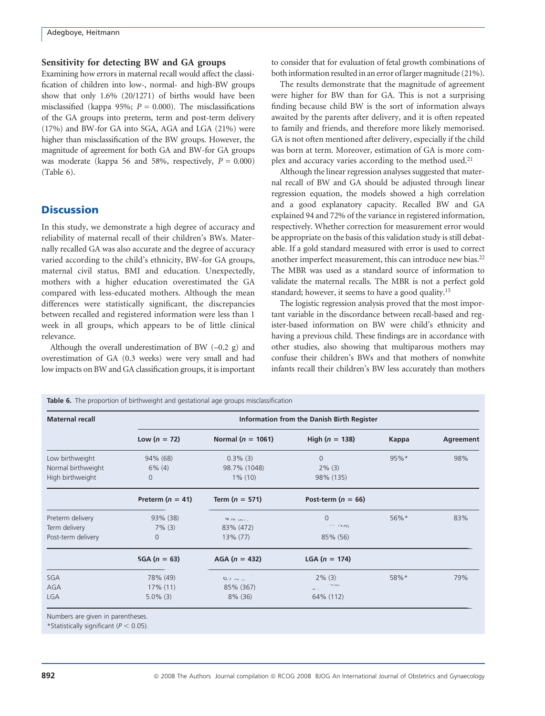#### Sensitivity for detecting BW and GA groups

Examining how errors in maternal recall would affect the classifcation of children into low-, normal- and high-BW groups show that only 1.6% (20/1271) of births would have been misclassified (kappa 95%;  $P = 0.000$ ). The misclassifications of the GA groups into preterm, term and post-term delivery (17%) and BW-for GA into SGA, AGA and LGA (21%) were higher than misclassifcation of the BW groups. However, the magnitude of agreement for both GA and BW-for GA groups was moderate (kappa 56 and 58%, respectively,  $P = 0.000$ ) (Table 6).

# **Discussion**

In this study, we demonstrate a high degree of accuracy and reliability of maternal recall of their children's BWs. Maternally recalled GA was also accurate and the degree of accuracy varied according to the child's ethnicity, BW-for GA groups, maternal civil status, BMI and education. Unexpectedly, mothers with a higher education overestimated the GA compared with less-educated mothers. Although the mean differences were statistically signifcant, the discrepancies between recalled and registered information were less than 1 week in all groups, which appears to be of little clinical relevance.

Although the overall underestimation of BW  $(-0.2 \text{ g})$  and overestimation of GA (0.3 weeks) were very small and had low impacts on BW and GA classifcation groups, it is important

to consider that for evaluation of fetal growth combinations of both information resulted in an error of larger magnitude (21%).

The results demonstrate that the magnitude of agreement were higher for BW than for GA. This is not a surprising fnding because child BW is the sort of information always awaited by the parents after delivery, and it is often repeated to family and friends, and therefore more likely memorised. GA is not often mentioned after delivery, especially if the child was born at term. Moreover, estimation of GA is more complex and accuracy varies according to the method used.<sup>21</sup>

Although the linear regression analyses suggested that maternal recall of BW and GA should be adjusted through linear regression equation, the models showed a high correlation and a good explanatory capacity. Recalled BW and GA explained 94 and 72% of the variance in registered information, respectively. Whether correction for measurement error would be appropriate on the basis of this validation study is still debatable. If a gold standard measured with error is used to correct another imperfect measurement, this can introduce new bias.<sup>22</sup> The MBR was used as a standard source of information to validate the maternal recalls. The MBR is not a perfect gold standard; however, it seems to have a good quality.15

The logistic regression analysis proved that the most important variable in the discordance between recall-based and register-based information on BW were child's ethnicity and having a previous child. These fndings are in accordance with other studies, also showing that multiparous mothers may confuse their children's BWs and that mothers of nonwhite infants recall their children's BW less accurately than mothers

| <b>Maternal recall</b> | <b>Information from the Danish Birth Register</b> |                       |                           |         |                  |  |  |  |
|------------------------|---------------------------------------------------|-----------------------|---------------------------|---------|------------------|--|--|--|
|                        | Low $(n = 72)$                                    | Normal ( $n = 1061$ ) | High ( $n = 138$ )        | Kappa   | <b>Agreement</b> |  |  |  |
| Low birthweight        | 94% (68)                                          | $0.3\%$ (3)           | $\Omega$                  | $95%$ * | 98%              |  |  |  |
| Normal birthweight     | $6\%$ (4)                                         | 98.7% (1048)          | $2\%$ (3)                 |         |                  |  |  |  |
| High birthweight       | 0                                                 | $1\%$ (10)            | 98% (135)                 |         |                  |  |  |  |
|                        | Preterm ( $n = 41$ )                              | Term ( $n = 571$ )    | Post-term ( $n = 66$ )    |         |                  |  |  |  |
| Preterm delivery       | 93% (38)                                          | $470 - -$             | $\mathbf{0}$              | $56\%*$ | 83%              |  |  |  |
| Term delivery          | $7\%$ (3)                                         | 83% (472)             | $-1101$                   |         |                  |  |  |  |
| Post-term delivery     | $\Omega$                                          | 13% (77)              | 85% (56)                  |         |                  |  |  |  |
|                        | $SGA (n = 63)$                                    | $AGA (n = 432)$       | LGA $(n = 174)$           |         |                  |  |  |  |
| SGA                    | 78% (49)                                          | $0.114 - 1.01$        | $2\%$ (3)                 | 58%*    | 79%              |  |  |  |
| <b>AGA</b>             | $17\%$ (11)                                       | 85% (367)             | $-21$<br>المراجعة المحاضر |         |                  |  |  |  |
| <b>LGA</b>             | $5.0\%$ (3)                                       | $8\%$ (36)            | 64% (112)                 |         |                  |  |  |  |